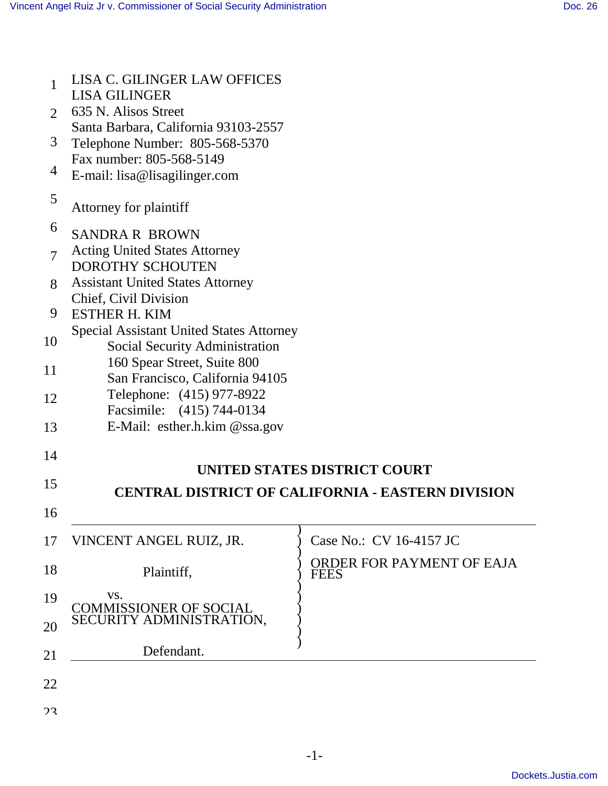| 1              | <b>LISA C. GILINGER LAW OFFICES</b><br><b>LISA GILINGER</b>                              |                                                          |
|----------------|------------------------------------------------------------------------------------------|----------------------------------------------------------|
| 2              | 635 N. Alisos Street                                                                     |                                                          |
|                | Santa Barbara, California 93103-2557                                                     |                                                          |
| 3              | Telephone Number: 805-568-5370                                                           |                                                          |
| 4              | Fax number: 805-568-5149<br>E-mail: lisa@lisagilinger.com                                |                                                          |
| 5              | Attorney for plaintiff                                                                   |                                                          |
| 6              | <b>SANDRA R BROWN</b>                                                                    |                                                          |
| $\overline{7}$ | <b>Acting United States Attorney</b><br><b>DOROTHY SCHOUTEN</b>                          |                                                          |
| 8              | <b>Assistant United States Attorney</b>                                                  |                                                          |
| 9              | Chief, Civil Division<br><b>ESTHER H. KIM</b>                                            |                                                          |
| 10             | <b>Special Assistant United States Attorney</b><br><b>Social Security Administration</b> |                                                          |
|                | 160 Spear Street, Suite 800                                                              |                                                          |
| 11             | San Francisco, California 94105                                                          |                                                          |
| 12             | Telephone: (415) 977-8922                                                                |                                                          |
|                | Facsimile: (415) 744-0134                                                                |                                                          |
| 13             | E-Mail: esther.h.kim @ssa.gov                                                            |                                                          |
| 14             |                                                                                          |                                                          |
|                |                                                                                          | UNITED STATES DISTRICT COURT                             |
| 15             |                                                                                          | <b>CENTRAL DISTRICT OF CALIFORNIA - EASTERN DIVISION</b> |
| 16             |                                                                                          |                                                          |
| 17             | VINCENT ANGEL RUIZ, JR.                                                                  | Case No.: CV 16-4157 JC                                  |
| 18             | Plaintiff,                                                                               | ORDER FOR PAYMENT OF EAJA<br><b>FEES</b>                 |
| 19             | VS.<br><b>COMMISSIONER OF SOCIAL</b>                                                     |                                                          |
| 20             | SECURITY ADMINISTRATION,                                                                 |                                                          |
| 21             | Defendant.                                                                               |                                                          |
| 22             |                                                                                          |                                                          |
|                |                                                                                          |                                                          |
| 23             |                                                                                          |                                                          |